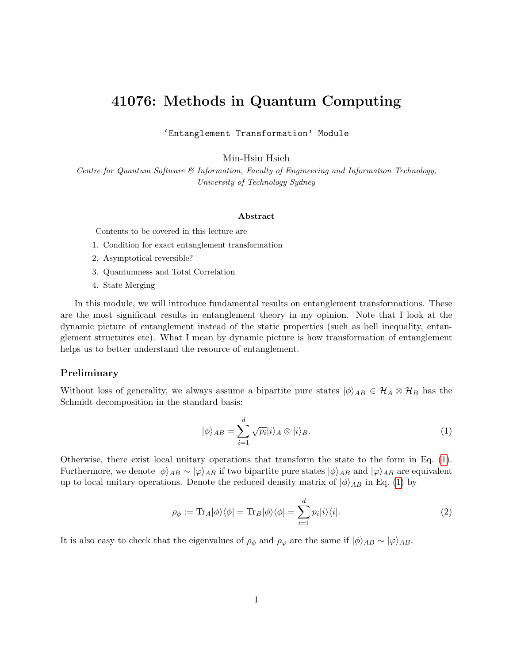# 41076: Methods in Quantum Computing

'Entanglement Transformation' Module

Min-Hsiu Hsieh

Centre for Quantum Software & Information, Faculty of Engineering and Information Technology, University of Technology Sydney

#### Abstract

Contents to be covered in this lecture are

- 1. Condition for exact entanglement transformation
- 2. Asymptotical reversible?
- 3. Quantumness and Total Correlation
- 4. State Merging

In this module, we will introduce fundamental results on entanglement transformations. These are the most significant results in entanglement theory in my opinion. Note that I look at the dynamic picture of entanglement instead of the static properties (such as bell inequality, entanglement structures etc). What I mean by dynamic picture is how transformation of entanglement helps us to better understand the resource of entanglement.

### Preliminary

Without loss of generality, we always assume a bipartite pure states  $|\phi\rangle_{AB} \in \mathcal{H}_A \otimes \mathcal{H}_B$  has the Schmidt decomposition in the standard basis:

<span id="page-0-0"></span>
$$
|\phi\rangle_{AB} = \sum_{i=1}^{d} \sqrt{p_i} |i\rangle_A \otimes |i\rangle_B.
$$
 (1)

Otherwise, there exist local unitary operations that transform the state to the form in Eq. [\(1\)](#page-0-0). Furthermore, we denote  $|\phi\rangle_{AB} \sim |\varphi\rangle_{AB}$  if two bipartite pure states  $|\phi\rangle_{AB}$  and  $|\varphi\rangle_{AB}$  are equivalent up to local unitary operations. Denote the reduced density matrix of  $|\phi\rangle_{AB}$  in Eq. [\(1\)](#page-0-0) by

$$
\rho_{\phi} := \text{Tr}_{A}|\phi\rangle\langle\phi| = \text{Tr}_{B}|\phi\rangle\langle\phi| = \sum_{i=1}^{d} p_{i}|i\rangle\langle i|.
$$
 (2)

It is also easy to check that the eigenvalues of  $\rho_{\phi}$  and  $\rho_{\varphi}$  are the same if  $|\phi\rangle_{AB} \sim |\varphi\rangle_{AB}$ .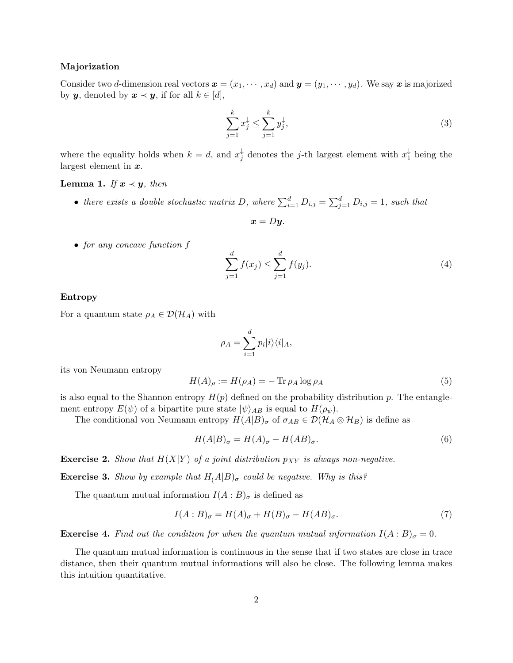#### Majorization

Consider two d-dimension real vectors  $\mathbf{x} = (x_1, \dots, x_d)$  and  $\mathbf{y} = (y_1, \dots, y_d)$ . We say x is majorized by **y**, denoted by  $x \prec y$ , if for all  $k \in [d]$ ,

$$
\sum_{j=1}^{k} x_j^{\downarrow} \le \sum_{j=1}^{k} y_j^{\downarrow},\tag{3}
$$

where the equality holds when  $k = d$ , and  $x_i^{\downarrow}$  $\frac{1}{j}$  denotes the *j*-th largest element with  $x_1^{\downarrow}$  $_1^{\downarrow}$  being the largest element in  $x$ .

### <span id="page-1-0"></span>**Lemma 1.** If  $x \prec y$ , then

• there exists a double stochastic matrix D, where  $\sum_{i=1}^{d} D_{i,j} = \sum_{j=1}^{d} D_{i,j} = 1$ , such that

$$
x = Dy.
$$

• for any concave function f

$$
\sum_{j=1}^{d} f(x_j) \le \sum_{j=1}^{d} f(y_j).
$$
\n(4)

#### Entropy

For a quantum state  $\rho_A \in \mathcal{D}(\mathcal{H}_A)$  with

$$
\rho_A = \sum_{i=1}^d p_i |i\rangle\langle i|_A,
$$

its von Neumann entropy

$$
H(A)_{\rho} := H(\rho_A) = -\operatorname{Tr}\rho_A \log \rho_A \tag{5}
$$

is also equal to the Shannon entropy  $H(p)$  defined on the probability distribution p. The entanglement entropy  $E(\psi)$  of a bipartite pure state  $|\psi\rangle_{AB}$  is equal to  $H(\rho_{\psi})$ .

The conditional von Neumann entropy  $H(A|B)_{\sigma}$  of  $\sigma_{AB} \in \mathcal{D}(\mathcal{H}_A \otimes \mathcal{H}_B)$  is define as

$$
H(A|B)_{\sigma} = H(A)_{\sigma} - H(AB)_{\sigma}.
$$
\n<sup>(6)</sup>

**Exercise 2.** Show that  $H(X|Y)$  of a joint distribution  $p_{XY}$  is always non-negative.

**Exercise 3.** Show by example that  $H(A|B)_{\sigma}$  could be negative. Why is this?

The quantum mutual information  $I(A:B)_{\sigma}$  is defined as

$$
I(A:B)_{\sigma} = H(A)_{\sigma} + H(B)_{\sigma} - H(AB)_{\sigma}.
$$
\n<sup>(7)</sup>

**Exercise 4.** Find out the condition for when the quantum mutual information  $I(A:B)_{\sigma}=0$ .

The quantum mutual information is continuous in the sense that if two states are close in trace distance, then their quantum mutual informations will also be close. The following lemma makes this intuition quantitative.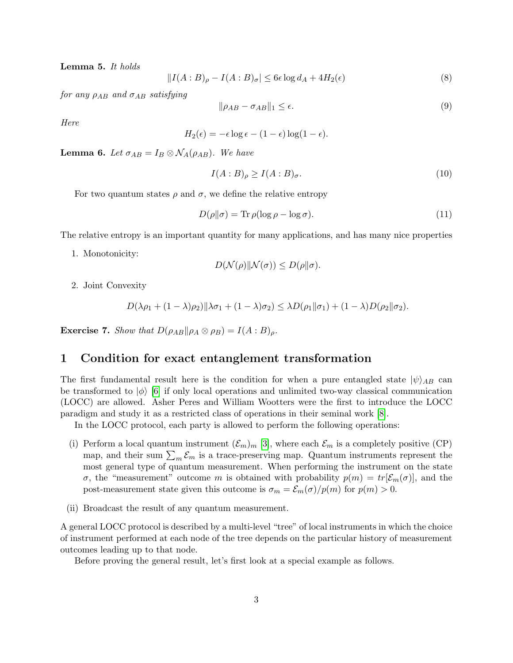<span id="page-2-0"></span>Lemma 5. It holds

$$
||I(A:B)_{\rho} - I(A:B)_{\sigma}| \le 6\epsilon \log d_A + 4H_2(\epsilon)
$$
\n(8)

for any  $\rho_{AB}$  and  $\sigma_{AB}$  satisfying

$$
\|\rho_{AB} - \sigma_{AB}\|_1 \le \epsilon. \tag{9}
$$

Here

$$
H_2(\epsilon) = -\epsilon \log \epsilon - (1 - \epsilon) \log(1 - \epsilon).
$$

<span id="page-2-1"></span>**Lemma 6.** Let  $\sigma_{AB} = I_B \otimes \mathcal{N}_A(\rho_{AB})$ . We have

$$
I(A:B)_{\rho} \ge I(A:B)_{\sigma}.
$$
\n<sup>(10)</sup>

For two quantum states  $\rho$  and  $\sigma$ , we define the relative entropy

$$
D(\rho \|\sigma) = \text{Tr}\,\rho(\log \rho - \log \sigma). \tag{11}
$$

The relative entropy is an important quantity for many applications, and has many nice properties

1. Monotonicity:

$$
D(\mathcal{N}(\rho) \| \mathcal{N}(\sigma)) \leq D(\rho \| \sigma).
$$

2. Joint Convexity

$$
D(\lambda \rho_1 + (1 - \lambda)\rho_2) \|\lambda \sigma_1 + (1 - \lambda)\sigma_2) \leq \lambda D(\rho_1 \|\sigma_1) + (1 - \lambda)D(\rho_2 \|\sigma_2).
$$

**Exercise 7.** Show that  $D(\rho_{AB}||\rho_A \otimes \rho_B) = I(A:B)_{\rho}$ .

# 1 Condition for exact entanglement transformation

The first fundamental result here is the condition for when a pure entangled state  $|\psi\rangle_{AB}$  can be transformed to  $|\phi\rangle$  [\[6\]](#page-12-0) if only local operations and unlimited two-way classical communication (LOCC) are allowed. Asher Peres and William Wootters were the first to introduce the LOCC paradigm and study it as a restricted class of operations in their seminal work [\[8\]](#page-12-1).

In the LOCC protocol, each party is allowed to perform the following operations:

- (i) Perform a local quantum instrument  $(\mathcal{E}_m)_m$  [\[3\]](#page-12-2), where each  $\mathcal{E}_m$  is a completely positive (CP) map, and their sum  $\sum_{m} \mathcal{E}_{m}$  is a trace-preserving map. Quantum instruments represent the most general type of quantum measurement. When performing the instrument on the state σ, the "measurement" outcome m is obtained with probability  $p(m) = tr[\mathcal{E}_m(\sigma)]$ , and the post-measurement state given this outcome is  $\sigma_m = \mathcal{E}_m(\sigma)/p(m)$  for  $p(m) > 0$ .
- (ii) Broadcast the result of any quantum measurement.

A general LOCC protocol is described by a multi-level "tree" of local instruments in which the choice of instrument performed at each node of the tree depends on the particular history of measurement outcomes leading up to that node.

Before proving the general result, let's first look at a special example as follows.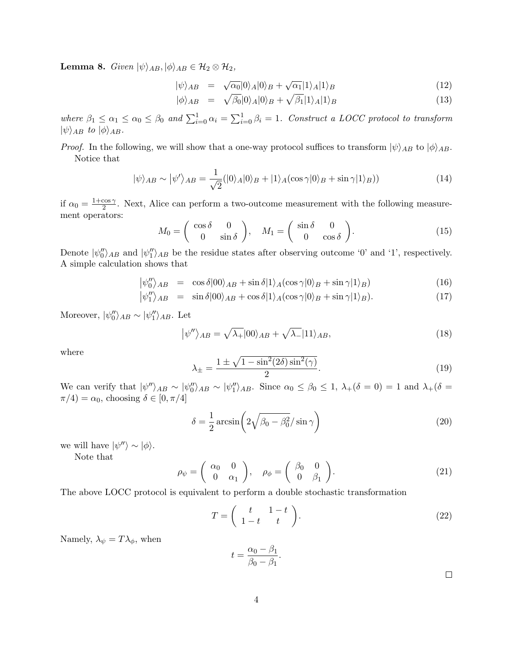**Lemma 8.** Given  $|\psi\rangle_{AB}, |\phi\rangle_{AB} \in \mathcal{H}_2 \otimes \mathcal{H}_2$ ,

$$
|\psi\rangle_{AB} = \sqrt{\alpha_0} |0\rangle_A |0\rangle_B + \sqrt{\alpha_1} |1\rangle_A |1\rangle_B \tag{12}
$$

$$
|\phi\rangle_{AB} = \sqrt{\beta_0}|0\rangle_A|0\rangle_B + \sqrt{\beta_1}|1\rangle_A|1\rangle_B \tag{13}
$$

where  $\beta_1 \leq \alpha_1 \leq \alpha_0 \leq \beta_0$  and  $\sum_{i=0}^1 \alpha_i = \sum_{i=0}^1 \beta_i = 1$ . Construct a LOCC protocol to transform  $|\psi\rangle_{AB}$  to  $|\phi\rangle_{AB}$ .

*Proof.* In the following, we will show that a one-way protocol suffices to transform  $|\psi\rangle_{AB}$  to  $|\phi\rangle_{AB}$ . Notice that

$$
|\psi\rangle_{AB} \sim |\psi'\rangle_{AB} = \frac{1}{\sqrt{2}} (|0\rangle_A |0\rangle_B + |1\rangle_A (\cos \gamma |0\rangle_B + \sin \gamma |1\rangle_B))
$$
 (14)

if  $\alpha_0 = \frac{1+\cos \gamma}{2}$  $\frac{\cos \gamma}{2}$ . Next, Alice can perform a two-outcome measurement with the following measurement operators:

<span id="page-3-0"></span>
$$
M_0 = \begin{pmatrix} \cos \delta & 0 \\ 0 & \sin \delta \end{pmatrix}, \quad M_1 = \begin{pmatrix} \sin \delta & 0 \\ 0 & \cos \delta \end{pmatrix}.
$$
 (15)

Denote  $|\psi_0''\rangle_{AB}$  and  $|\psi_1''\rangle_{AB}$  be the residue states after observing outcome '0' and '1', respectively. A simple calculation shows that

$$
|\psi_0''\rangle_{AB} = \cos\delta|00\rangle_{AB} + \sin\delta|1\rangle_A(\cos\gamma|0\rangle_B + \sin\gamma|1\rangle_B)
$$
(16)

$$
|\psi_1''\rangle_{AB} = \sin \delta|00\rangle_{AB} + \cos \delta|1\rangle_A(\cos \gamma|0\rangle_B + \sin \gamma|1\rangle_B). \tag{17}
$$

Moreover,  $|\psi_0''\rangle_{AB} \sim |\psi_1''\rangle_{AB}$ . Let

$$
|\psi''\rangle_{AB} = \sqrt{\lambda_+}|00\rangle_{AB} + \sqrt{\lambda_-}|11\rangle_{AB},\tag{18}
$$

where

$$
\lambda_{\pm} = \frac{1 \pm \sqrt{1 - \sin^2(2\delta)\sin^2(\gamma)}}{2}.
$$
\n(19)

We can verify that  $|\psi''\rangle_{AB} \sim |\psi''_0\rangle_{AB} \sim |\psi''_1\rangle_{AB}$ . Since  $\alpha_0 \le \beta_0 \le 1$ ,  $\lambda_+(\delta = 0) = 1$  and  $\lambda_+(\delta = 0)$  $\pi/4$ ) =  $\alpha_0$ , choosing  $\delta \in [0, \pi/4]$ 

$$
\delta = \frac{1}{2} \arcsin\left(2\sqrt{\beta_0 - \beta_0^2} / \sin\gamma\right) \tag{20}
$$

we will have  $|\psi''\rangle \sim |\phi\rangle$ .

Note that

$$
\rho_{\psi} = \begin{pmatrix} \alpha_0 & 0 \\ 0 & \alpha_1 \end{pmatrix}, \quad \rho_{\phi} = \begin{pmatrix} \beta_0 & 0 \\ 0 & \beta_1 \end{pmatrix}.
$$
 (21)

The above LOCC protocol is equivalent to perform a double stochastic transformation

$$
T = \left(\begin{array}{cc} t & 1-t \\ 1-t & t \end{array}\right).
$$
 (22)

Namely,  $\lambda_{\psi} = T \lambda_{\phi}$ , when

$$
t = \frac{\alpha_0 - \beta_1}{\beta_0 - \beta_1}.
$$

 $\Box$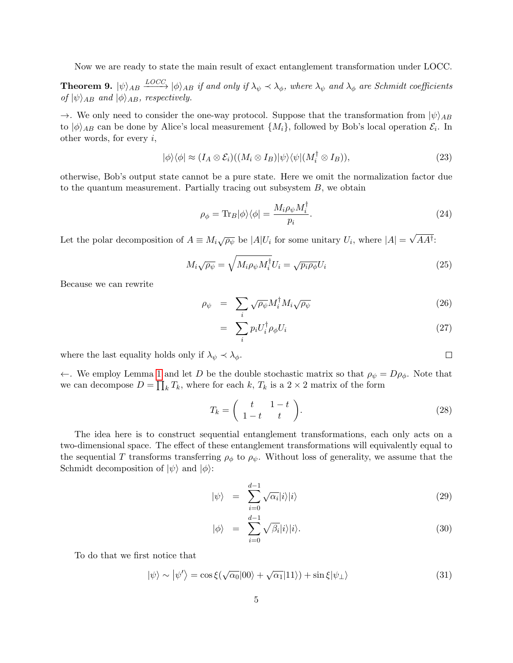Now we are ready to state the main result of exact entanglement transformation under LOCC.

**Theorem 9.**  $|\psi\rangle_{AB} \stackrel{LOCC}{\longrightarrow} |\phi\rangle_{AB}$  if and only if  $\lambda_{\psi} \prec \lambda_{\phi}$ , where  $\lambda_{\psi}$  and  $\lambda_{\phi}$  are Schmidt coefficients of  $|\psi\rangle_{AB}$  and  $|\phi\rangle_{AB}$ , respectively.

 $\rightarrow$ . We only need to consider the one-way protocol. Suppose that the transformation from  $|\psi\rangle_{AB}$ to  $|\phi\rangle_{AB}$  can be done by Alice's local measurement  $\{M_i\}$ , followed by Bob's local operation  $\mathcal{E}_i$ . In other words, for every  $i$ ,

$$
|\phi\rangle\langle\phi| \approx (I_A \otimes \mathcal{E}_i)((M_i \otimes I_B)|\psi\rangle\langle\psi|(M_i^{\dagger} \otimes I_B)), \tag{23}
$$

otherwise, Bob's output state cannot be a pure state. Here we omit the normalization factor due to the quantum measurement. Partially tracing out subsystem  $B$ , we obtain

$$
\rho_{\phi} = \text{Tr}_B |\phi\rangle\langle\phi| = \frac{M_i \rho_{\psi} M_i^{\dagger}}{p_i}.
$$
\n(24)

Let the polar decomposition of  $A \equiv M_i \sqrt{\rho_{\psi}}$  be  $|A|U_i$  for some unitary  $U_i$ , where  $|A| =$ √ AA† :

$$
M_i \sqrt{\rho_\psi} = \sqrt{M_i \rho_\psi M_i^{\dagger}} U_i = \sqrt{p_i \rho_\phi} U_i \tag{25}
$$

Because we can rewrite

$$
\rho_{\psi} = \sum_{i} \sqrt{\rho_{\psi}} M_{i}^{\dagger} M_{i} \sqrt{\rho_{\psi}}
$$
\n(26)

$$
= \sum_{i} p_i U_i^{\dagger} \rho_{\phi} U_i \tag{27}
$$

 $\Box$ 

where the last equality holds only if  $\lambda_{\psi} \prec \lambda_{\phi}$ .

←. We employ Lemma [1](#page-1-0) and let D be the double stochastic matrix so that  $\rho_{\psi} = D\rho_{\phi}$ . Note that we can decompose  $D = \prod_k T_k$ , where for each k,  $T_k$  is a  $2 \times 2$  matrix of the form

$$
T_k = \left(\begin{array}{cc} t & 1-t \\ 1-t & t \end{array}\right). \tag{28}
$$

The idea here is to construct sequential entanglement transformations, each only acts on a two-dimensional space. The effect of these entanglement transformations will equivalently equal to the sequential T transforms transferring  $\rho_{\phi}$  to  $\rho_{\psi}$ . Without loss of generality, we assume that the Schmidt decomposition of  $|\psi\rangle$  and  $|\phi\rangle$ :

$$
|\psi\rangle = \sum_{i=0}^{d-1} \sqrt{\alpha_i} |i\rangle |i\rangle \tag{29}
$$

$$
|\phi\rangle = \sum_{i=0}^{d-1} \sqrt{\beta_i} |i\rangle |i\rangle. \tag{30}
$$

To do that we first notice that

$$
|\psi\rangle \sim |\psi'\rangle = \cos\xi(\sqrt{\alpha_0}|00\rangle + \sqrt{\alpha_1}|11\rangle) + \sin\xi|\psi_{\perp}\rangle
$$
 (31)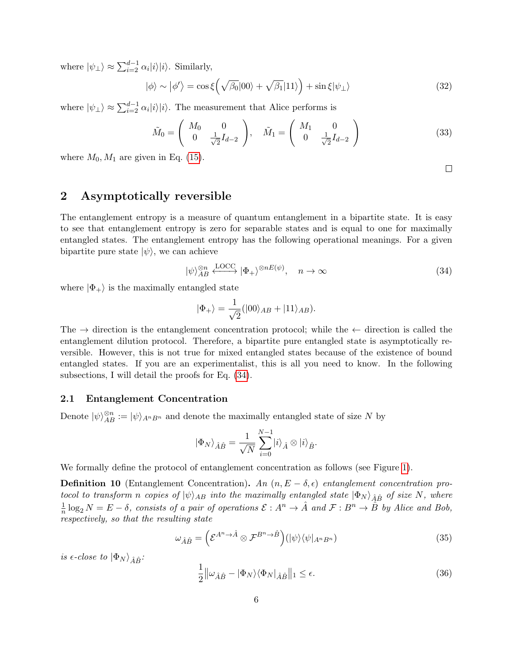where  $|\psi_{\perp}\rangle \approx \sum_{i=2}^{d-1} \alpha_i |i\rangle |i\rangle$ . Similarly,

$$
|\phi\rangle \sim |\phi'\rangle = \cos\xi \left(\sqrt{\beta_0}|00\rangle + \sqrt{\beta_1}|11\rangle\right) + \sin\xi|\psi_\perp\rangle \tag{32}
$$

where  $|\psi_{\perp}\rangle \approx \sum_{i=2}^{d-1} \alpha_i |i\rangle |i\rangle$ . The measurement that Alice performs is

$$
\tilde{M}_0 = \begin{pmatrix} M_0 & 0 \\ 0 & \frac{1}{\sqrt{2}} I_{d-2} \end{pmatrix}, \quad \tilde{M}_1 = \begin{pmatrix} M_1 & 0 \\ 0 & \frac{1}{\sqrt{2}} I_{d-2} \end{pmatrix}
$$
 (33)

where  $M_0, M_1$  are given in Eq. [\(15\)](#page-3-0).

## 2 Asymptotically reversible

The entanglement entropy is a measure of quantum entanglement in a bipartite state. It is easy to see that entanglement entropy is zero for separable states and is equal to one for maximally entangled states. The entanglement entropy has the following operational meanings. For a given bipartite pure state  $|\psi\rangle$ , we can achieve

<span id="page-5-0"></span>
$$
|\psi\rangle_{AB}^{\otimes n} \xleftarrow{\text{LOCC}} |\Phi_{+}\rangle^{\otimes nE(\psi)}, \quad n \to \infty
$$
\n(34)

where  $|\Phi_{+}\rangle$  is the maximally entangled state

$$
|\Phi_+\rangle = \frac{1}{\sqrt{2}} (|00\rangle_{AB} + |11\rangle_{AB}).
$$

The  $\rightarrow$  direction is the entanglement concentration protocol; while the  $\leftarrow$  direction is called the entanglement dilution protocol. Therefore, a bipartite pure entangled state is asymptotically reversible. However, this is not true for mixed entangled states because of the existence of bound entangled states. If you are an experimentalist, this is all you need to know. In the following subsections, I will detail the proofs for Eq. [\(34\)](#page-5-0).

### 2.1 Entanglement Concentration

Denote  $|\psi\rangle_{AB}^{\otimes n} := |\psi\rangle_{A^nB^n}$  and denote the maximally entangled state of size N by

$$
\label{eq:phi} |\Phi_N\rangle_{\hat{A}\hat{B}} = \frac{1}{\sqrt{N}} \sum_{i=0}^{N-1} |i\rangle_{\hat{A}} \otimes |i\rangle_{\hat{B}}.
$$

We formally define the protocol of entanglement concentration as follows (see Figure [1\)](#page-6-0).

**Definition 10** (Entanglement Concentration). An  $(n, E - \delta, \epsilon)$  entanglement concentration protocol to transform n copies of  $|\psi\rangle_{AB}$  into the maximally entangled state  $|\Phi_N\rangle_{\hat{A}\hat{B}}$  of size N, where 1  $\frac{1}{n}\log_2 N = E - \delta$ , consists of a pair of operations  $\mathcal{E}: A^n \to \hat{A}$  and  $\mathcal{F}: B^n \to \hat{B}$  by Alice and Bob, respectively, so that the resulting state

$$
\omega_{\hat{A}\hat{B}} = \left(\mathcal{E}^{A^n \to \hat{A}} \otimes \mathcal{F}^{B^n \to \hat{B}}\right) (\vert \psi \rangle \langle \psi \vert_{A^n B^n}) \tag{35}
$$

is  $\epsilon$ -close to  $|\Phi_N\rangle$   $\hat{A} \hat{B}$ :

<span id="page-5-1"></span>
$$
\frac{1}{2} \|\omega_{\hat{A}\hat{B}} - |\Phi_N\rangle \langle \Phi_N|_{\hat{A}\hat{B}} \|_1 \le \epsilon.
$$
\n(36)

 $\Box$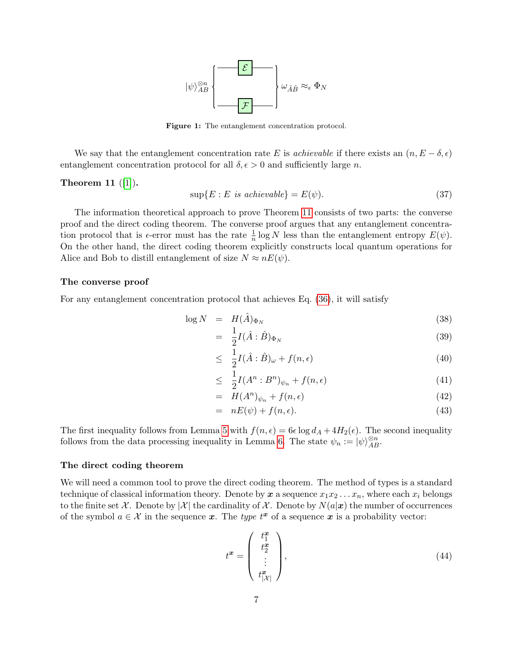

Figure 1: The entanglement concentration protocol.

<span id="page-6-0"></span>We say that the entanglement concentration rate E is *achievable* if there exists an  $(n, E - \delta, \epsilon)$ entanglement concentration protocol for all  $\delta, \epsilon > 0$  and sufficiently large n.

#### <span id="page-6-1"></span>Theorem 11  $([1])$  $([1])$  $([1])$ .

$$
\sup\{E : E \text{ is achievable}\} = E(\psi). \tag{37}
$$

The information theoretical approach to prove Theorem [11](#page-6-1) consists of two parts: the converse proof and the direct coding theorem. The converse proof argues that any entanglement concentration protocol that is  $\epsilon$ -error must has the rate  $\frac{1}{n} \log N$  less than the entanglement entropy  $E(\psi)$ . On the other hand, the direct coding theorem explicitly constructs local quantum operations for Alice and Bob to distill entanglement of size  $N \approx nE(\psi)$ .

#### The converse proof

For any entanglement concentration protocol that achieves Eq. [\(36\)](#page-5-1), it will satisfy

$$
\log N = H(\hat{A})_{\Phi_N} \tag{38}
$$

$$
= \frac{1}{2}I(\hat{A}:\hat{B})_{\Phi_N} \tag{39}
$$

$$
\leq \frac{1}{2}I(\hat{A}:\hat{B})_{\omega} + f(n,\epsilon) \tag{40}
$$

$$
\leq \frac{1}{2}I(A^n:B^n)_{\psi_n} + f(n,\epsilon) \tag{41}
$$

$$
= H(A^n)_{\psi_n} + f(n, \epsilon) \tag{42}
$$

$$
= nE(\psi) + f(n, \epsilon). \tag{43}
$$

The first inequality follows from Lemma [5](#page-2-0) with  $f(n, \epsilon) = 6\epsilon \log d_A + 4H_2(\epsilon)$ . The second inequality follows from the data processing inequality in Lemma [6.](#page-2-1) The state  $\psi_n := |\psi\rangle_{AB}^{\otimes n}$ .

#### The direct coding theorem

We will need a common tool to prove the direct coding theorem. The method of types is a standard technique of classical information theory. Denote by  $x$  a sequence  $x_1x_2 \ldots x_n$ , where each  $x_i$  belongs to the finite set X. Denote by  $|\mathcal{X}|$  the cardinality of X. Denote by  $N(a|\mathbf{x})$  the number of occurrences of the symbol  $a \in \mathcal{X}$  in the sequence x. The type  $t^x$  of a sequence x is a probability vector:

$$
t^x = \begin{pmatrix} t_1^x \\ t_2^x \\ \vdots \\ t_{|\mathcal{X}|}^x \end{pmatrix},\tag{44}
$$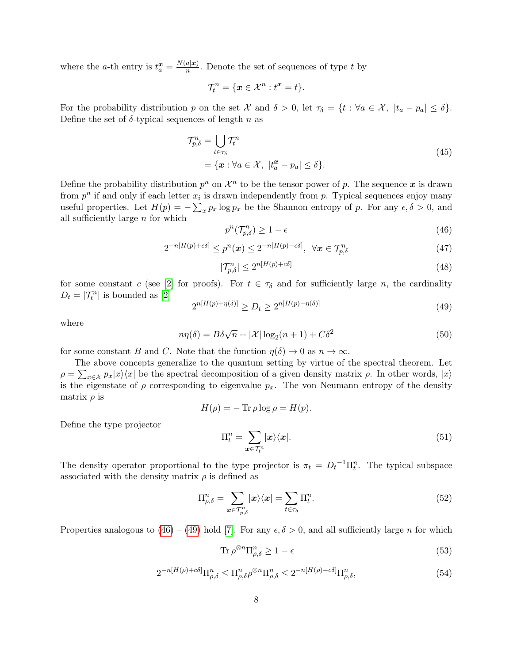where the *a*-th entry is  $t_a^{\mathbf{x}} = \frac{N(a|\mathbf{x})}{n}$  $\frac{a|x|}{n}$ . Denote the set of sequences of type t by

$$
\mathcal{T}_t^n = \{ \mathbf{x} \in \mathcal{X}^n : t^{\mathbf{x}} = t \}.
$$

For the probability distribution p on the set X and  $\delta > 0$ , let  $\tau_{\delta} = \{t : \forall a \in \mathcal{X}, |t_a - p_a| \leq \delta\}.$ Define the set of  $\delta$ -typical sequences of length n as

$$
\mathcal{T}_{p,\delta}^n = \bigcup_{t \in \tau_{\delta}} \mathcal{T}_t^n
$$
\n
$$
= \{ \boldsymbol{x} : \forall a \in \mathcal{X}, \ |t_a^{\boldsymbol{x}} - p_a| \le \delta \}. \tag{45}
$$

Define the probability distribution  $p^n$  on  $\mathcal{X}^n$  to be the tensor power of p. The sequence x is drawn from  $p^n$  if and only if each letter  $x_i$  is drawn independently from p. Typical sequences enjoy many useful properties. Let  $H(p) = -\sum_{x} p_x \log p_x$  be the Shannon entropy of p. For any  $\epsilon, \delta > 0$ , and all sufficiently large n for which

<span id="page-7-0"></span>
$$
p^n(\mathcal{T}_{p,\delta}^n) \ge 1 - \epsilon \tag{46}
$$

$$
2^{-n[H(p)+c\delta]} \le p^n(\boldsymbol{x}) \le 2^{-n[H(p)-c\delta]}, \ \forall \boldsymbol{x} \in \mathcal{T}_{p,\delta}^n
$$
\n(47)

$$
|\mathcal{T}_{p,\delta}^n| \le 2^{n[H(p)+c\delta]} \tag{48}
$$

for some constant c (see [\[2\]](#page-12-4) for proofs). For  $t \in \tau_{\delta}$  and for sufficiently large n, the cardinality  $D_t = |\mathcal{T}_t^n|$  is bounded as [\[2\]](#page-12-4)

<span id="page-7-1"></span>
$$
2^{n[H(p) + \eta(\delta)]} \ge D_t \ge 2^{n[H(p) - \eta(\delta)]} \tag{49}
$$

where

<span id="page-7-2"></span>
$$
n\eta(\delta) = B\delta\sqrt{n} + |\mathcal{X}| \log_2(n+1) + C\delta^2 \tag{50}
$$

for some constant B and C. Note that the function  $\eta(\delta) \to 0$  as  $n \to \infty$ .

The above concepts generalize to the quantum setting by virtue of the spectral theorem. Let  $\rho = \sum_{x \in \mathcal{X}} p_x |x\rangle\langle x|$  be the spectral decomposition of a given density matrix  $\rho$ . In other words,  $|x\rangle$ is the eigenstate of  $\rho$  corresponding to eigenvalue  $p_x$ . The von Neumann entropy of the density matrix  $\rho$  is

$$
H(\rho) = -\operatorname{Tr}\rho\log\rho = H(p).
$$

Define the type projector

<span id="page-7-4"></span>
$$
\Pi_t^n = \sum_{\mathbf{x} \in \mathcal{T}_t^n} |\mathbf{x}\rangle\langle\mathbf{x}|.\tag{51}
$$

The density operator proportional to the type projector is  $\pi_t = D_t^{-1} \Pi_t^n$ . The typical subspace associated with the density matrix  $\rho$  is defined as

<span id="page-7-3"></span>
$$
\Pi_{\rho,\delta}^{n} = \sum_{\boldsymbol{x}\in\mathcal{T}_{p,\delta}^{n}} |\boldsymbol{x}\rangle\langle\boldsymbol{x}| = \sum_{t\in\tau_{\delta}} \Pi_{t}^{n}.
$$
\n(52)

Properties analogous to  $(46) - (49)$  $(46) - (49)$  $(46) - (49)$  hold [\[7\]](#page-12-5). For any  $\epsilon, \delta > 0$ , and all sufficiently large n for which

<span id="page-7-5"></span>
$$
\operatorname{Tr}\rho^{\otimes n}\Pi_{\rho,\delta}^n\geq 1-\epsilon\tag{53}
$$

$$
2^{-n[H(\rho)+c\delta]} \Pi_{\rho,\delta}^n \leq \Pi_{\rho,\delta}^n \rho^{\otimes n} \Pi_{\rho,\delta}^n \leq 2^{-n[H(\rho)-c\delta]} \Pi_{\rho,\delta}^n,\tag{54}
$$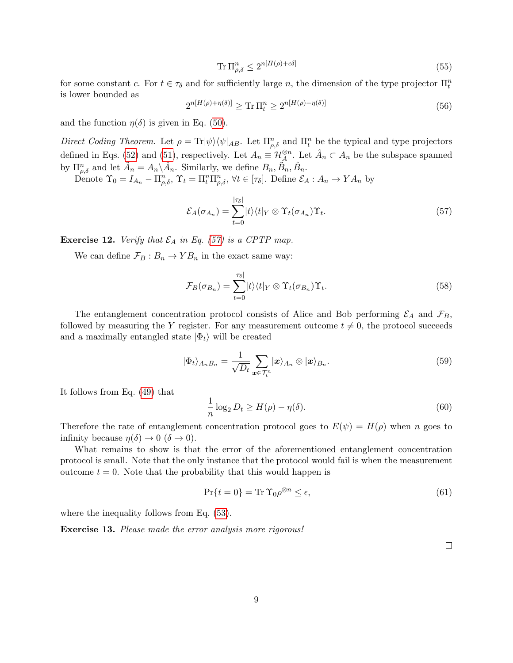$$
\operatorname{Tr} \Pi_{\rho,\delta}^n \le 2^{n[H(\rho) + c\delta]} \tag{55}
$$

for some constant c. For  $t \in \tau_{\delta}$  and for sufficiently large n, the dimension of the type projector  $\Pi_t^n$ is lower bounded as

$$
2^{n[H(\rho)+\eta(\delta)]} \ge \text{Tr}\,\Pi_t^n \ge 2^{n[H(\rho)-\eta(\delta)]} \tag{56}
$$

and the function  $\eta(\delta)$  is given in Eq. [\(50\)](#page-7-2).

Direct Coding Theorem. Let  $\rho = \text{Tr}|\psi\rangle\langle\psi|_{AB}$ . Let  $\Pi_{\rho,\delta}^n$  and  $\Pi_t^n$  be the typical and type projectors defined in Eqs. [\(52\)](#page-7-3) and [\(51\)](#page-7-4), respectively. Let  $A_n \equiv \mathcal{H}_A^{\otimes n}$ . Let  $\hat{A}_n \subset A_n$  be the subspace spanned by  $\Pi_{\rho,\delta}^n$  and let  $\tilde{A}_n = A_n \backslash \hat{A}_n$ . Similarly, we define  $B_n$ ,  $\tilde{B}_n$ ,  $\tilde{B}_n$ .

Denote  $\Upsilon_0 = I_{A_n} - \prod_{\rho,\delta}^n$ ,  $\Upsilon_t = \prod_t^n \prod_{\rho,\delta}^n$ ,  $\forall t \in [\tau_\delta]$ . Define  $\mathcal{E}_A : A_n \to YA_n$  by

<span id="page-8-0"></span>
$$
\mathcal{E}_A(\sigma_{A_n}) = \sum_{t=0}^{|\tau_\delta|} |t\rangle\langle t|_Y \otimes \Upsilon_t(\sigma_{A_n})\Upsilon_t.
$$
\n(57)

**Exercise 12.** Verify that  $\mathcal{E}_A$  in Eq. [\(57\)](#page-8-0) is a CPTP map.

We can define  $\mathcal{F}_B : B_n \to Y B_n$  in the exact same way:

$$
\mathcal{F}_B(\sigma_{B_n}) = \sum_{t=0}^{|\tau_{\delta}|} |t\rangle\langle t|_Y \otimes \Upsilon_t(\sigma_{B_n})\Upsilon_t.
$$
\n(58)

The entanglement concentration protocol consists of Alice and Bob performing  $\mathcal{E}_A$  and  $\mathcal{F}_B$ , followed by measuring the Y register. For any measurement outcome  $t \neq 0$ , the protocol succeeds and a maximally entangled state  $|\Phi_t\rangle$  will be created

$$
|\Phi_t\rangle_{A_nB_n} = \frac{1}{\sqrt{D_t}} \sum_{\mathbf{x} \in \mathcal{T}_t^n} |\mathbf{x}\rangle_{A_n} \otimes |\mathbf{x}\rangle_{B_n}.
$$
\n(59)

It follows from Eq. [\(49\)](#page-7-1) that

$$
\frac{1}{n}\log_2 D_t \ge H(\rho) - \eta(\delta). \tag{60}
$$

Therefore the rate of entanglement concentration protocol goes to  $E(\psi) = H(\rho)$  when n goes to infinity because  $\eta(\delta) \to 0 \ (\delta \to 0)$ .

What remains to show is that the error of the aforementioned entanglement concentration protocol is small. Note that the only instance that the protocol would fail is when the measurement outcome  $t = 0$ . Note that the probability that this would happen is

$$
\Pr\{t=0\} = \text{Tr}\,\Upsilon_0 \rho^{\otimes n} \le \epsilon,\tag{61}
$$

where the inequality follows from Eq.  $(53)$ .

Exercise 13. Please made the error analysis more rigorous!

 $\Box$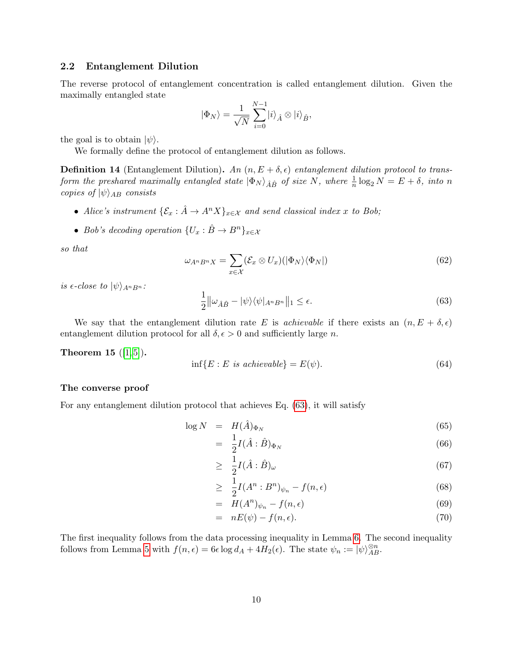### 2.2 Entanglement Dilution

The reverse protocol of entanglement concentration is called entanglement dilution. Given the maximally entangled state

$$
|\Phi_N\rangle = \frac{1}{\sqrt{N}} \sum_{i=0}^{N-1} |i\rangle_{\hat{A}} \otimes |i\rangle_{\hat{B}},
$$

the goal is to obtain  $|\psi\rangle$ .

We formally define the protocol of entanglement dilution as follows.

**Definition 14** (Entanglement Dilution). An  $(n, E + \delta, \epsilon)$  entanglement dilution protocol to transform the preshared maximally entangled state  $|\Phi_N\rangle_{\hat{A}\hat{B}}$  of size N, where  $\frac{1}{n} \log_2 N = E + \delta$ , into n copies of  $|\psi\rangle_{AB}$  consists

- Alice's instrument  $\{\mathcal{E}_x : \hat{A} \to A^n X\}_{x \in \mathcal{X}}$  and send classical index x to Bob;
- Bob's decoding operation  $\{U_x : \hat{B} \to B^n\}_{x \in \mathcal{X}}$

so that

$$
\omega_{A^n B^n X} = \sum_{x \in \mathcal{X}} (\mathcal{E}_x \otimes U_x) (|\Phi_N\rangle \langle \Phi_N|)
$$
(62)

is  $\epsilon$ -close to  $|\psi\rangle_{A^nB^n}$ :

<span id="page-9-0"></span>
$$
\frac{1}{2} \|\omega_{\hat{A}\hat{B}} - |\psi\rangle\langle\psi|_{A^n B^n} \|_1 \le \epsilon.
$$
\n(63)

We say that the entanglement dilution rate E is *achievable* if there exists an  $(n, E + \delta, \epsilon)$ entanglement dilution protocol for all  $\delta, \epsilon > 0$  and sufficiently large n.

<span id="page-9-1"></span>**Theorem 15**  $([1, 5])$  $([1, 5])$  $([1, 5])$  $([1, 5])$ .

$$
\inf\{E: E \text{ is achievable}\} = E(\psi). \tag{64}
$$

#### The converse proof

For any entanglement dilution protocol that achieves Eq. [\(63\)](#page-9-0), it will satisfy

$$
\log N = H(\hat{A})_{\Phi_N} \tag{65}
$$

$$
= \frac{1}{2}I(\hat{A}:\hat{B})_{\Phi_N} \tag{66}
$$

$$
\geq \frac{1}{2}I(\hat{A}:\hat{B})_{\omega} \tag{67}
$$

$$
\geq \frac{1}{2}I(A^n:B^n)_{\psi_n} - f(n,\epsilon) \tag{68}
$$

$$
= H(A^n)\psi_n - f(n, \epsilon) \tag{69}
$$

$$
= nE(\psi) - f(n, \epsilon). \tag{70}
$$

The first inequality follows from the data processing inequality in Lemma [6.](#page-2-1) The second inequality follows from Lemma [5](#page-2-0) with  $f(n, \epsilon) = 6\epsilon \log d_A + 4H_2(\epsilon)$ . The state  $\psi_n := |\psi\rangle_{AB}^{\otimes n}$ .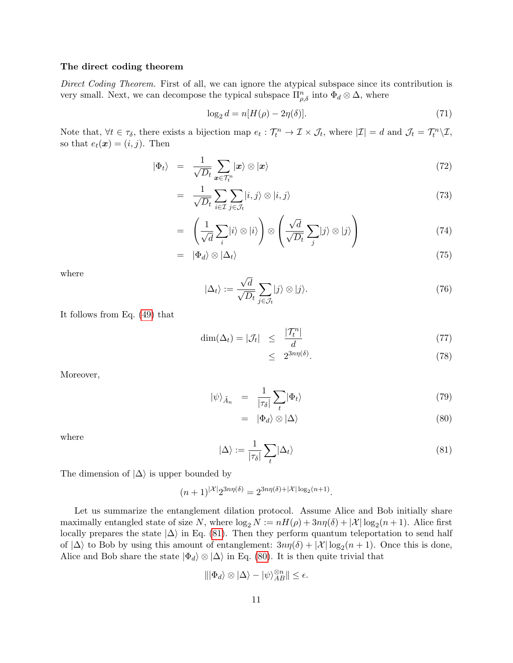#### The direct coding theorem

Direct Coding Theorem. First of all, we can ignore the atypical subspace since its contribution is very small. Next, we can decompose the typical subspace  $\Pi_{\rho,\delta}^n$  into  $\Phi_d \otimes \Delta$ , where

$$
\log_2 d = n[H(\rho) - 2\eta(\delta)].\tag{71}
$$

Note that,  $\forall t \in \tau_{\delta}$ , there exists a bijection map  $e_t : \mathcal{T}_t^n \to \mathcal{I} \times \mathcal{J}_t$ , where  $|\mathcal{I}| = d$  and  $\mathcal{J}_t = \mathcal{T}_t^n \setminus \mathcal{I}$ , so that  $e_t(\mathbf{x}) = (i, j)$ . Then

$$
|\Phi_t\rangle = \frac{1}{\sqrt{D_t}} \sum_{\mathbf{x} \in \mathcal{T}_t^n} |\mathbf{x}\rangle \otimes |\mathbf{x}\rangle \tag{72}
$$

$$
= \frac{1}{\sqrt{D_t}} \sum_{i \in \mathcal{I}} \sum_{j \in \mathcal{J}_t} |i, j\rangle \otimes |i, j\rangle \tag{73}
$$

$$
= \left(\frac{1}{\sqrt{d}}\sum_{i}|i\rangle\otimes|i\rangle\right)\otimes\left(\frac{\sqrt{d}}{\sqrt{D_t}}\sum_{j}|j\rangle\otimes|j\rangle\right) \tag{74}
$$

$$
= |\Phi_d\rangle \otimes |\Delta_t\rangle \tag{75}
$$

where

$$
|\Delta_t\rangle := \frac{\sqrt{d}}{\sqrt{D_t}} \sum_{j \in \mathcal{J}_t} |j\rangle \otimes |j\rangle. \tag{76}
$$

It follows from Eq. [\(49\)](#page-7-1) that

$$
\dim(\Delta_t) = |\mathcal{J}_t| \le \frac{|\mathcal{T}_t^n|}{d} \tag{77}
$$

$$
\leq 2^{3n\eta(\delta)}.\tag{78}
$$

Moreover,

<span id="page-10-1"></span>
$$
|\psi\rangle_{\tilde{A}_n} = \frac{1}{|\tau_\delta|} \sum_t |\Phi_t\rangle \tag{79}
$$

$$
= |\Phi_d\rangle \otimes |\Delta\rangle \tag{80}
$$

where

<span id="page-10-0"></span>
$$
|\Delta\rangle := \frac{1}{|\tau_{\delta}|} \sum_{t} |\Delta_{t}\rangle
$$
\n(81)

The dimension of  $|\Delta\rangle$  is upper bounded by

$$
(n+1)^{|\mathcal{X}|} 2^{3n\eta(\delta)} = 2^{3n\eta(\delta) + |\mathcal{X}| \log_2(n+1)}.
$$

Let us summarize the entanglement dilation protocol. Assume Alice and Bob initially share maximally entangled state of size N, where  $\log_2 N := nH(\rho) + 3n\eta(\delta) + |\mathcal{X}| \log_2(n+1)$ . Alice first locally prepares the state  $|\Delta\rangle$  in Eq. [\(81\)](#page-10-0). Then they perform quantum teleportation to send half of  $|\Delta\rangle$  to Bob by using this amount of entanglement:  $3n\eta(\delta) + |\mathcal{X}| \log_2(n+1)$ . Once this is done, Alice and Bob share the state  $|\Phi_d\rangle \otimes |\Delta\rangle$  in Eq. [\(80\)](#page-10-1). It is then quite trivial that

$$
\||\Phi_d\rangle \otimes |\Delta\rangle - |\psi\rangle^{\otimes n}_{AB}\| \le \epsilon.
$$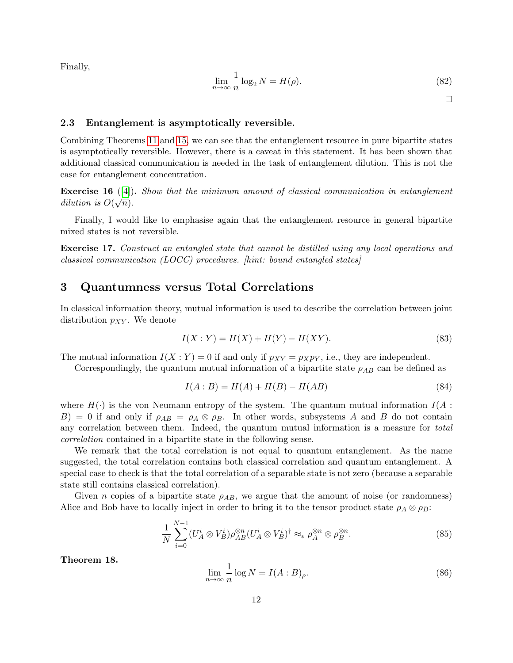Finally,

$$
\lim_{n \to \infty} \frac{1}{n} \log_2 N = H(\rho). \tag{82}
$$

 $\Box$ 

### 2.3 Entanglement is asymptotically reversible.

Combining Theorems [11](#page-6-1) and [15,](#page-9-1) we can see that the entanglement resource in pure bipartite states is asymptotically reversible. However, there is a caveat in this statement. It has been shown that additional classical communication is needed in the task of entanglement dilution. This is not the case for entanglement concentration.

**Exercise 16** ([\[4\]](#page-12-7)). Show that the minimum amount of classical communication in entanglement dilution is  $O(\sqrt{n})$ .

Finally, I would like to emphasise again that the entanglement resource in general bipartite mixed states is not reversible.

Exercise 17. Construct an entangled state that cannot be distilled using any local operations and classical communication (LOCC) procedures. [hint: bound entangled states]

## 3 Quantumness versus Total Correlations

In classical information theory, mutual information is used to describe the correlation between joint distribution  $p_{XY}$ . We denote

$$
I(X:Y) = H(X) + H(Y) - H(XY).
$$
\n(83)

The mutual information  $I(X:Y) = 0$  if and only if  $p_{XY} = p_X p_Y$ , i.e., they are independent.

Correspondingly, the quantum mutual information of a bipartite state  $\rho_{AB}$  can be defined as

$$
I(A:B) = H(A) + H(B) - H(AB)
$$
\n(84)

where  $H(\cdot)$  is the von Neumann entropy of the system. The quantum mutual information  $I(A:$  $B$ ) = 0 if and only if  $\rho_{AB} = \rho_A \otimes \rho_B$ . In other words, subsystems A and B do not contain any correlation between them. Indeed, the quantum mutual information is a measure for total correlation contained in a bipartite state in the following sense.

We remark that the total correlation is not equal to quantum entanglement. As the name suggested, the total correlation contains both classical correlation and quantum entanglement. A special case to check is that the total correlation of a separable state is not zero (because a separable state still contains classical correlation).

Given n copies of a bipartite state  $\rho_{AB}$ , we argue that the amount of noise (or randomness) Alice and Bob have to locally inject in order to bring it to the tensor product state  $\rho_A \otimes \rho_B$ :

$$
\frac{1}{N} \sum_{i=0}^{N-1} (U_A^i \otimes V_B^i) \rho_{AB}^{\otimes n} (U_A^i \otimes V_B^i)^{\dagger} \approx_{\varepsilon} \rho_A^{\otimes n} \otimes \rho_B^{\otimes n}.
$$
\n(85)

Theorem 18.

$$
\lim_{n \to \infty} \frac{1}{n} \log N = I(A:B)_{\rho}.
$$
\n(86)